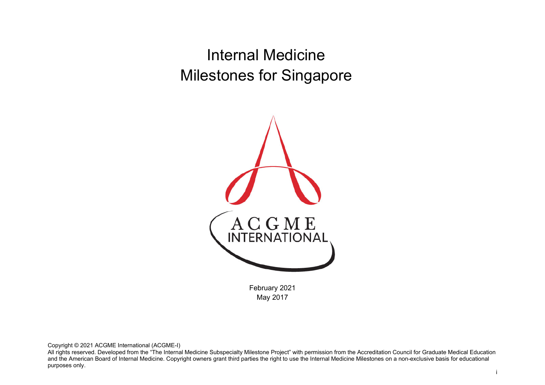Internal Medicine Milestones for Singapore



February 2021 May 2017

Copyright © 2021 ACGME International (ACGME-I)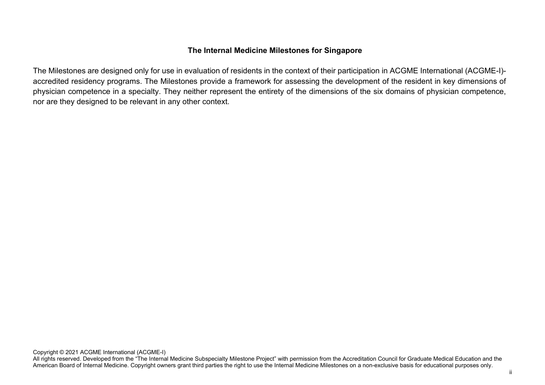### **The Internal Medicine Milestones for Singapore**

The Milestones are designed only for use in evaluation of residents in the context of their participation in ACGME International (ACGME-I) accredited residency programs. The Milestones provide a framework for assessing the development of the resident in key dimensions of physician competence in a specialty. They neither represent the entirety of the dimensions of the six domains of physician competence, nor are they designed to be relevant in any other context.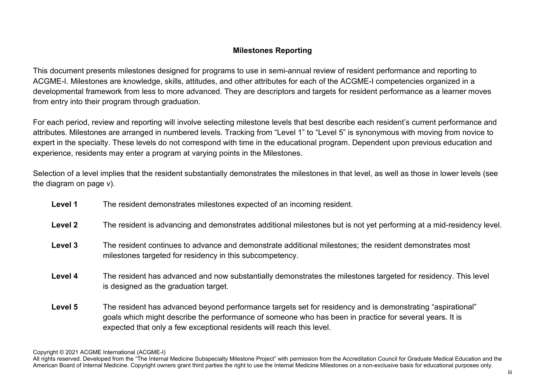# **Milestones Reporting**

This document presents milestones designed for programs to use in semi-annual review of resident performance and reporting to ACGME-I. Milestones are knowledge, skills, attitudes, and other attributes for each of the ACGME-I competencies organized in a developmental framework from less to more advanced. They are descriptors and targets for resident performance as a learner moves from entry into their program through graduation.

For each period, review and reporting will involve selecting milestone levels that best describe each resident's current performance and attributes. Milestones are arranged in numbered levels. Tracking from "Level 1" to "Level 5" is synonymous with moving from novice to expert in the specialty. These levels do not correspond with time in the educational program. Dependent upon previous education and experience, residents may enter a program at varying points in the Milestones.

Selection of a level implies that the resident substantially demonstrates the milestones in that level, as well as those in lower levels (see the diagram on page v).

| Level 1 | The resident demonstrates milestones expected of an incoming resident.                                                                                                                                                                                                                         |
|---------|------------------------------------------------------------------------------------------------------------------------------------------------------------------------------------------------------------------------------------------------------------------------------------------------|
| Level 2 | The resident is advancing and demonstrates additional milestones but is not yet performing at a mid-residency level.                                                                                                                                                                           |
| Level 3 | The resident continues to advance and demonstrate additional milestones; the resident demonstrates most<br>milestones targeted for residency in this subcompetency.                                                                                                                            |
| Level 4 | The resident has advanced and now substantially demonstrates the milestones targeted for residency. This level<br>is designed as the graduation target.                                                                                                                                        |
| Level 5 | The resident has advanced beyond performance targets set for residency and is demonstrating "aspirational"<br>goals which might describe the performance of someone who has been in practice for several years. It is<br>expected that only a few exceptional residents will reach this level. |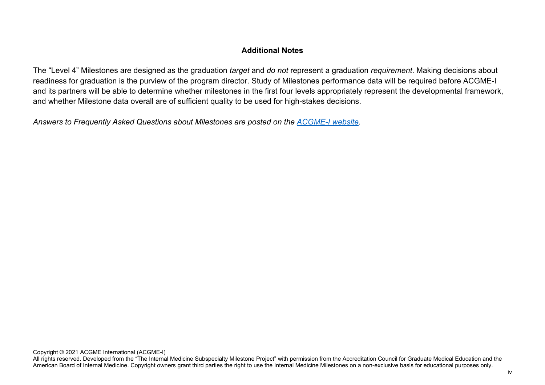## **Additional Notes**

The "Level 4" Milestones are designed as the graduation *target* and *do not* represent a graduation *requirement*. Making decisions about readiness for graduation is the purview of the program director. Study of Milestones performance data will be required before ACGME-I and its partners will be able to determine whether milestones in the first four levels appropriately represent the developmental framework, and whether Milestone data overall are of sufficient quality to be used for high-stakes decisions.

*Answers to Frequently Asked Questions about Milestones are posted on the [ACGME-I website.](http://www.acgme-i.org/)*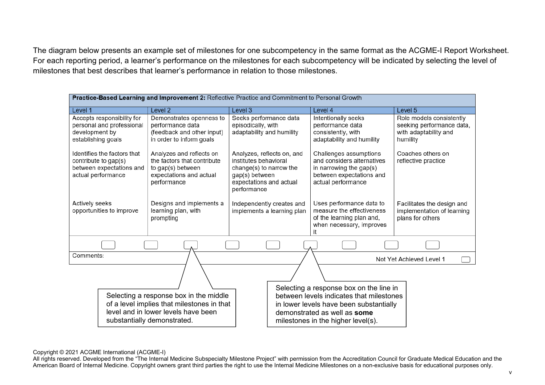The diagram below presents an example set of milestones for one subcompetency in the same format as the ACGME-I Report Worksheet. For each reporting period, a learner's performance on the milestones for each subcompetency will be indicated by selecting the level of milestones that best describes that learner's performance in relation to those milestones.

| Practice-Based Learning and Improvement 2: Reflective Practice and Commitment to Personal Growth      |                                                                                                                        |                                                                                                                                            |                                                         |                                                                                                                                   |                                                                                            |
|-------------------------------------------------------------------------------------------------------|------------------------------------------------------------------------------------------------------------------------|--------------------------------------------------------------------------------------------------------------------------------------------|---------------------------------------------------------|-----------------------------------------------------------------------------------------------------------------------------------|--------------------------------------------------------------------------------------------|
| Level 1                                                                                               | Level 2                                                                                                                | Level 3                                                                                                                                    |                                                         | Level 4                                                                                                                           | Level 5                                                                                    |
| Accepts responsibility for<br>personal and professional<br>development by<br>establishing goals       | Demonstrates openness to<br>performance data<br>(feedback and other input)<br>in order to inform goals                 | Seeks performance data<br>episodically, with<br>adaptability and humility                                                                  |                                                         | Intentionally seeks<br>performance data<br>consistently, with<br>adaptability and humility                                        | Role models consistently<br>seeking performance data,<br>with adaptability and<br>humility |
| Identifies the factors that<br>contribute to gap(s)<br>between expectations and<br>actual performance | Analyzes and reflects on<br>the factors that contribute<br>to gap(s) between<br>expectations and actual<br>performance | Analyzes, reflects on, and<br>institutes behavioral<br>change(s) to narrow the<br>gap(s) between<br>expectations and actual<br>performance |                                                         | Challenges assumptions<br>and considers alternatives<br>in narrowing the gap(s)<br>between expectations and<br>actual performance | Coaches others on<br>reflective practice                                                   |
| Actively seeks<br>opportunities to improve                                                            | Designs and implements a<br>learning plan, with<br>prompting                                                           |                                                                                                                                            | Independently creates and<br>implements a learning plan | Uses performance data to<br>measure the effectiveness<br>of the learning plan and,<br>when necessary, improves<br>it              | Facilitates the design and<br>implementation of learning<br>plans for others               |
|                                                                                                       |                                                                                                                        |                                                                                                                                            |                                                         |                                                                                                                                   |                                                                                            |
| Comments:<br>Not Yet Achieved Level 1                                                                 |                                                                                                                        |                                                                                                                                            |                                                         |                                                                                                                                   |                                                                                            |
|                                                                                                       |                                                                                                                        |                                                                                                                                            |                                                         | Selecting a response box on the line in                                                                                           |                                                                                            |
|                                                                                                       | Selecting a response box in the middle<br>of a level implies that milestones in that                                   |                                                                                                                                            |                                                         | between levels indicates that milestones<br>in lower levels have been substantially                                               |                                                                                            |
|                                                                                                       | level and in lower levels have been<br>substantially demonstrated.                                                     |                                                                                                                                            |                                                         | demonstrated as well as some<br>milestones in the higher level(s).                                                                |                                                                                            |

Copyright © 2021 ACGME International (ACGME-I)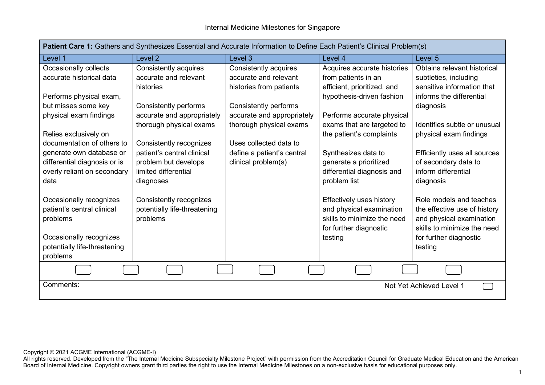|                                                         |                              |                            | Patient Care 1: Gathers and Synthesizes Essential and Accurate information to Denne Each Patient's Chinical Problem(s) |                                                         |
|---------------------------------------------------------|------------------------------|----------------------------|------------------------------------------------------------------------------------------------------------------------|---------------------------------------------------------|
| Level 1                                                 | Level <sub>2</sub>           | Level 3                    | Level 4                                                                                                                | Level 5                                                 |
| Occasionally collects                                   | Consistently acquires        | Consistently acquires      | Acquires accurate histories                                                                                            | Obtains relevant historical                             |
| accurate historical data                                | accurate and relevant        | accurate and relevant      | from patients in an                                                                                                    | subtleties, including                                   |
|                                                         | histories                    | histories from patients    | efficient, prioritized, and                                                                                            | sensitive information that                              |
| Performs physical exam,                                 |                              |                            | hypothesis-driven fashion                                                                                              | informs the differential                                |
| but misses some key                                     | Consistently performs        | Consistently performs      |                                                                                                                        | diagnosis                                               |
| physical exam findings                                  | accurate and appropriately   | accurate and appropriately | Performs accurate physical                                                                                             |                                                         |
|                                                         | thorough physical exams      | thorough physical exams    | exams that are targeted to                                                                                             | Identifies subtle or unusual                            |
| Relies exclusively on                                   |                              |                            | the patient's complaints                                                                                               | physical exam findings                                  |
| documentation of others to                              | Consistently recognizes      | Uses collected data to     |                                                                                                                        |                                                         |
| generate own database or                                | patient's central clinical   | define a patient's central | Synthesizes data to                                                                                                    | Efficiently uses all sources                            |
| differential diagnosis or is                            | problem but develops         | clinical problem(s)        | generate a prioritized                                                                                                 | of secondary data to                                    |
| overly reliant on secondary                             | limited differential         |                            | differential diagnosis and                                                                                             | inform differential                                     |
| data                                                    | diagnoses                    |                            | problem list                                                                                                           | diagnosis                                               |
|                                                         |                              |                            |                                                                                                                        |                                                         |
| Occasionally recognizes                                 | Consistently recognizes      |                            | Effectively uses history                                                                                               | Role models and teaches                                 |
| patient's central clinical                              | potentially life-threatening |                            | and physical examination<br>skills to minimize the need                                                                | the effective use of history                            |
| problems                                                | problems                     |                            |                                                                                                                        | and physical examination<br>skills to minimize the need |
|                                                         |                              |                            | for further diagnostic                                                                                                 |                                                         |
| Occasionally recognizes<br>potentially life-threatening |                              |                            | testing                                                                                                                | for further diagnostic<br>testing                       |
| problems                                                |                              |                            |                                                                                                                        |                                                         |
|                                                         |                              |                            |                                                                                                                        |                                                         |
|                                                         |                              |                            |                                                                                                                        |                                                         |
| Comments:                                               |                              |                            |                                                                                                                        | Not Yet Achieved Level 1                                |

**Patient Care 1:** Gathers and Synthesizes Essential and Accurate Information to Define Each Patient's Clinical Problem(s)

Copyright © 2021 ACGME International (ACGME-I)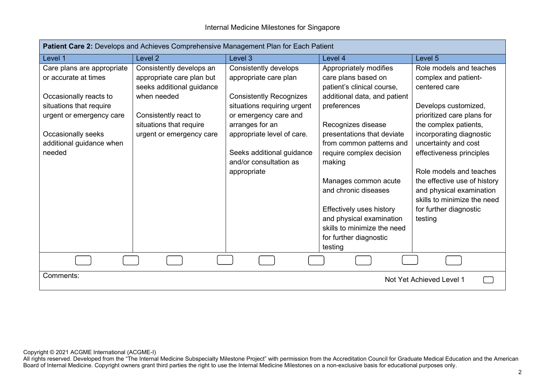| Patient Care 2: Develops and Achieves Comprehensive Management Plan for Each Patient |                                                                                    |                                                                                        |                                                                                                                          |                                                                                                                    |  |  |
|--------------------------------------------------------------------------------------|------------------------------------------------------------------------------------|----------------------------------------------------------------------------------------|--------------------------------------------------------------------------------------------------------------------------|--------------------------------------------------------------------------------------------------------------------|--|--|
| Level 1                                                                              | Level <sub>2</sub>                                                                 | Level 3                                                                                | Level 4                                                                                                                  | Level 5                                                                                                            |  |  |
| Care plans are appropriate<br>or accurate at times                                   | Consistently develops an<br>appropriate care plan but<br>seeks additional guidance | Consistently develops<br>appropriate care plan                                         | Appropriately modifies<br>care plans based on<br>patient's clinical course,                                              | Role models and teaches<br>complex and patient-<br>centered care                                                   |  |  |
| Occasionally reacts to<br>situations that require<br>urgent or emergency care        | when needed<br>Consistently react to                                               | <b>Consistently Recognizes</b><br>situations requiring urgent<br>or emergency care and | additional data, and patient<br>preferences                                                                              | Develops customized,<br>prioritized care plans for                                                                 |  |  |
| Occasionally seeks<br>additional guidance when<br>needed                             | situations that require<br>urgent or emergency care                                | arranges for an<br>appropriate level of care.<br>Seeks additional guidance             | Recognizes disease<br>presentations that deviate<br>from common patterns and<br>require complex decision                 | the complex patients,<br>incorporating diagnostic<br>uncertainty and cost<br>effectiveness principles              |  |  |
|                                                                                      |                                                                                    | and/or consultation as<br>appropriate                                                  | making<br>Manages common acute<br>and chronic diseases                                                                   | Role models and teaches<br>the effective use of history<br>and physical examination<br>skills to minimize the need |  |  |
|                                                                                      |                                                                                    |                                                                                        | Effectively uses history<br>and physical examination<br>skills to minimize the need<br>for further diagnostic<br>testing | for further diagnostic<br>testing                                                                                  |  |  |
|                                                                                      |                                                                                    |                                                                                        |                                                                                                                          |                                                                                                                    |  |  |
| Comments:<br>Not Yet Achieved Level 1                                                |                                                                                    |                                                                                        |                                                                                                                          |                                                                                                                    |  |  |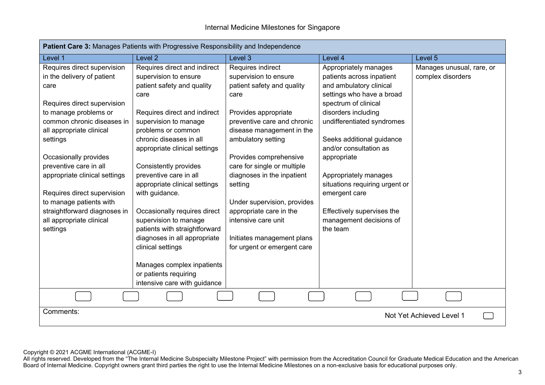| Patient Care 3: Manages Patients with Progressive Responsibility and Independence |                               |                             |                                                   |                           |  |
|-----------------------------------------------------------------------------------|-------------------------------|-----------------------------|---------------------------------------------------|---------------------------|--|
| Level 1                                                                           | Level <sub>2</sub>            | Level 3                     | Level 4                                           | Level 5                   |  |
| Requires direct supervision                                                       | Requires direct and indirect  | Requires indirect           | Appropriately manages                             | Manages unusual, rare, or |  |
| in the delivery of patient                                                        | supervision to ensure         | supervision to ensure       | patients across inpatient                         | complex disorders         |  |
| care                                                                              | patient safety and quality    | patient safety and quality  | and ambulatory clinical                           |                           |  |
|                                                                                   | care                          | care                        | settings who have a broad<br>spectrum of clinical |                           |  |
| Requires direct supervision<br>to manage problems or                              | Requires direct and indirect  | Provides appropriate        | disorders including                               |                           |  |
| common chronic diseases in                                                        | supervision to manage         | preventive care and chronic | undifferentiated syndromes                        |                           |  |
| all appropriate clinical                                                          | problems or common            | disease management in the   |                                                   |                           |  |
| settings                                                                          | chronic diseases in all       | ambulatory setting          | Seeks additional guidance                         |                           |  |
|                                                                                   | appropriate clinical settings |                             | and/or consultation as                            |                           |  |
| Occasionally provides                                                             |                               | Provides comprehensive      | appropriate                                       |                           |  |
| preventive care in all                                                            | <b>Consistently provides</b>  | care for single or multiple |                                                   |                           |  |
| appropriate clinical settings                                                     | preventive care in all        | diagnoses in the inpatient  | Appropriately manages                             |                           |  |
|                                                                                   | appropriate clinical settings | setting                     | situations requiring urgent or                    |                           |  |
| Requires direct supervision<br>to manage patients with                            | with guidance.                | Under supervision, provides | emergent care                                     |                           |  |
| straightforward diagnoses in                                                      | Occasionally requires direct  | appropriate care in the     | Effectively supervises the                        |                           |  |
| all appropriate clinical                                                          | supervision to manage         | intensive care unit         | management decisions of                           |                           |  |
| settings                                                                          | patients with straightforward |                             | the team                                          |                           |  |
|                                                                                   | diagnoses in all appropriate  | Initiates management plans  |                                                   |                           |  |
|                                                                                   | clinical settings             | for urgent or emergent care |                                                   |                           |  |
|                                                                                   |                               |                             |                                                   |                           |  |
|                                                                                   | Manages complex inpatients    |                             |                                                   |                           |  |
|                                                                                   | or patients requiring         |                             |                                                   |                           |  |
|                                                                                   | intensive care with guidance  |                             |                                                   |                           |  |
|                                                                                   |                               |                             |                                                   |                           |  |
| Comments:                                                                         |                               |                             |                                                   | Not Yet Achieved Level 1  |  |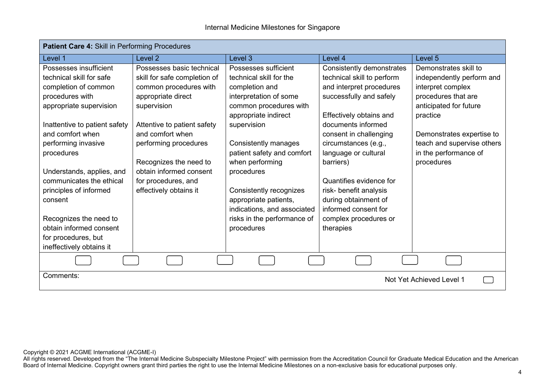| Patient Care 4: Skill in Performing Procedures |                              |                             |                            |                            |  |  |
|------------------------------------------------|------------------------------|-----------------------------|----------------------------|----------------------------|--|--|
| Level 1                                        | Level <sub>2</sub>           | Level <sub>3</sub>          | Level 4                    | Level 5                    |  |  |
| Possesses insufficient                         | Possesses basic technical    | Possesses sufficient        | Consistently demonstrates  | Demonstrates skill to      |  |  |
| technical skill for safe                       | skill for safe completion of | technical skill for the     | technical skill to perform | independently perform and  |  |  |
| completion of common                           | common procedures with       | completion and              | and interpret procedures   | interpret complex          |  |  |
| procedures with                                | appropriate direct           | interpretation of some      | successfully and safely    | procedures that are        |  |  |
| appropriate supervision                        | supervision                  | common procedures with      |                            | anticipated for future     |  |  |
|                                                |                              | appropriate indirect        | Effectively obtains and    | practice                   |  |  |
| Inattentive to patient safety                  | Attentive to patient safety  | supervision                 | documents informed         |                            |  |  |
| and comfort when                               | and comfort when             |                             | consent in challenging     | Demonstrates expertise to  |  |  |
| performing invasive                            | performing procedures        | Consistently manages        | circumstances (e.g.,       | teach and supervise others |  |  |
| procedures                                     |                              | patient safety and comfort  | language or cultural       | in the performance of      |  |  |
|                                                | Recognizes the need to       | when performing             | barriers)                  | procedures                 |  |  |
| Understands, applies, and                      | obtain informed consent      | procedures                  |                            |                            |  |  |
| communicates the ethical                       | for procedures, and          |                             | Quantifies evidence for    |                            |  |  |
| principles of informed                         | effectively obtains it       | Consistently recognizes     | risk- benefit analysis     |                            |  |  |
| consent                                        |                              | appropriate patients,       | during obtainment of       |                            |  |  |
|                                                |                              | indications, and associated | informed consent for       |                            |  |  |
| Recognizes the need to                         |                              | risks in the performance of | complex procedures or      |                            |  |  |
| obtain informed consent                        |                              | procedures                  | therapies                  |                            |  |  |
| for procedures, but                            |                              |                             |                            |                            |  |  |
| ineffectively obtains it                       |                              |                             |                            |                            |  |  |
|                                                |                              |                             |                            |                            |  |  |
| Comments:<br>Not Yet Achieved Level 1          |                              |                             |                            |                            |  |  |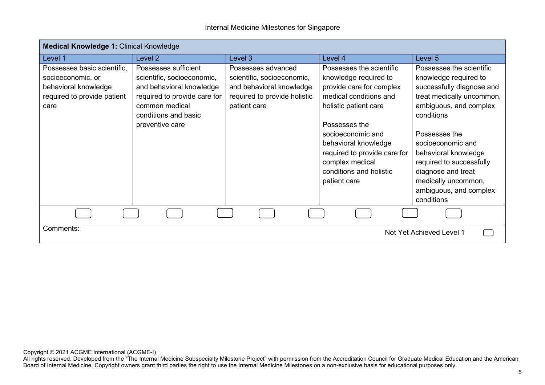| <b>Medical Knowledge 1: Clinical Knowledge</b>                                                                  |                                                                                                                                                                             |                                                                                                                              |                                                                                                                                                                                                                                                                                              |                                                                                                                                                                                                                                                                                                                                    |  |
|-----------------------------------------------------------------------------------------------------------------|-----------------------------------------------------------------------------------------------------------------------------------------------------------------------------|------------------------------------------------------------------------------------------------------------------------------|----------------------------------------------------------------------------------------------------------------------------------------------------------------------------------------------------------------------------------------------------------------------------------------------|------------------------------------------------------------------------------------------------------------------------------------------------------------------------------------------------------------------------------------------------------------------------------------------------------------------------------------|--|
| Level 1                                                                                                         | Level 2                                                                                                                                                                     | Level 3                                                                                                                      | Level 4                                                                                                                                                                                                                                                                                      | Level 5                                                                                                                                                                                                                                                                                                                            |  |
| Possesses basic scientific,<br>socioeconomic, or<br>behavioral knowledge<br>required to provide patient<br>care | Possesses sufficient<br>scientific, socioeconomic,<br>and behavioral knowledge<br>required to provide care for<br>common medical<br>conditions and basic<br>preventive care | Possesses advanced<br>scientific, socioeconomic,<br>and behavioral knowledge<br>required to provide holistic<br>patient care | Possesses the scientific<br>knowledge required to<br>provide care for complex<br>medical conditions and<br>holistic patient care<br>Possesses the<br>socioeconomic and<br>behavioral knowledge<br>required to provide care for<br>complex medical<br>conditions and holistic<br>patient care | Possesses the scientific<br>knowledge required to<br>successfully diagnose and<br>treat medically uncommon,<br>ambiguous, and complex<br>conditions<br>Possesses the<br>socioeconomic and<br>behavioral knowledge<br>required to successfully<br>diagnose and treat<br>medically uncommon,<br>ambiguous, and complex<br>conditions |  |
|                                                                                                                 |                                                                                                                                                                             |                                                                                                                              |                                                                                                                                                                                                                                                                                              |                                                                                                                                                                                                                                                                                                                                    |  |
| Comments:                                                                                                       |                                                                                                                                                                             |                                                                                                                              |                                                                                                                                                                                                                                                                                              | Not Yet Achieved Level 1                                                                                                                                                                                                                                                                                                           |  |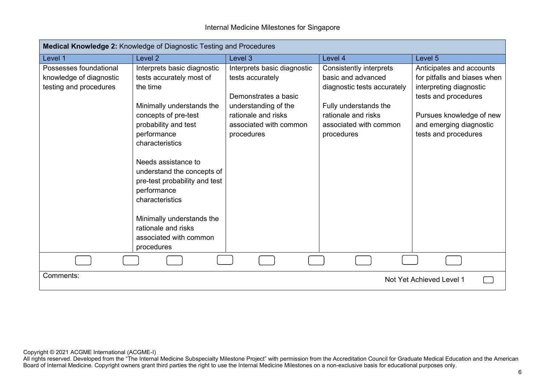| Medical Knowledge 2: Knowledge of Diagnostic Testing and Procedures         |                                                                                                                                                                                                                                                                                                                                                                                                        |                                                                                                                                                                |                                                                                                                                                                      |                                                                                                                                                                                            |  |
|-----------------------------------------------------------------------------|--------------------------------------------------------------------------------------------------------------------------------------------------------------------------------------------------------------------------------------------------------------------------------------------------------------------------------------------------------------------------------------------------------|----------------------------------------------------------------------------------------------------------------------------------------------------------------|----------------------------------------------------------------------------------------------------------------------------------------------------------------------|--------------------------------------------------------------------------------------------------------------------------------------------------------------------------------------------|--|
| Level 1                                                                     | Level <sub>2</sub>                                                                                                                                                                                                                                                                                                                                                                                     | Level 3                                                                                                                                                        | Level 4                                                                                                                                                              | Level 5                                                                                                                                                                                    |  |
| Possesses foundational<br>knowledge of diagnostic<br>testing and procedures | Interprets basic diagnostic<br>tests accurately most of<br>the time<br>Minimally understands the<br>concepts of pre-test<br>probability and test<br>performance<br>characteristics<br>Needs assistance to<br>understand the concepts of<br>pre-test probability and test<br>performance<br>characteristics<br>Minimally understands the<br>rationale and risks<br>associated with common<br>procedures | Interprets basic diagnostic<br>tests accurately<br>Demonstrates a basic<br>understanding of the<br>rationale and risks<br>associated with common<br>procedures | Consistently interprets<br>basic and advanced<br>diagnostic tests accurately<br>Fully understands the<br>rationale and risks<br>associated with common<br>procedures | Anticipates and accounts<br>for pitfalls and biases when<br>interpreting diagnostic<br>tests and procedures<br>Pursues knowledge of new<br>and emerging diagnostic<br>tests and procedures |  |
|                                                                             |                                                                                                                                                                                                                                                                                                                                                                                                        |                                                                                                                                                                |                                                                                                                                                                      |                                                                                                                                                                                            |  |
| Comments:                                                                   |                                                                                                                                                                                                                                                                                                                                                                                                        |                                                                                                                                                                |                                                                                                                                                                      |                                                                                                                                                                                            |  |
|                                                                             |                                                                                                                                                                                                                                                                                                                                                                                                        |                                                                                                                                                                |                                                                                                                                                                      | Not Yet Achieved Level 1                                                                                                                                                                   |  |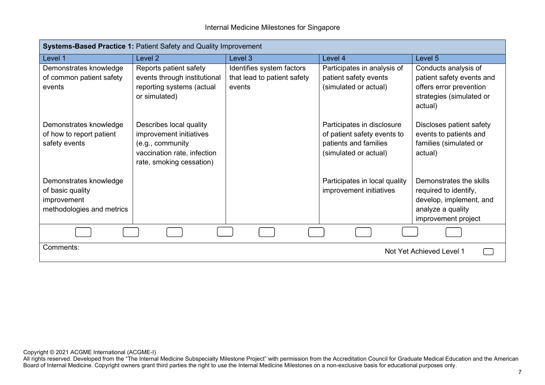| <b>Systems-Based Practice 1: Patient Safety and Quality Improvement</b>                |                                                                                                                                   |                                                                    |                                                                                                             |                                                                                                                         |  |
|----------------------------------------------------------------------------------------|-----------------------------------------------------------------------------------------------------------------------------------|--------------------------------------------------------------------|-------------------------------------------------------------------------------------------------------------|-------------------------------------------------------------------------------------------------------------------------|--|
| Level 1                                                                                | Level <sub>2</sub>                                                                                                                | Level 3                                                            | Level 4                                                                                                     | Level 5                                                                                                                 |  |
| Demonstrates knowledge<br>of common patient safety<br>events                           | Reports patient safety<br>events through institutional<br>reporting systems (actual<br>or simulated)                              | Identifies system factors<br>that lead to patient safety<br>events | Participates in analysis of<br>patient safety events<br>(simulated or actual)                               | Conducts analysis of<br>patient safety events and<br>offers error prevention<br>strategies (simulated or<br>actual)     |  |
| Demonstrates knowledge<br>of how to report patient<br>safety events                    | Describes local quality<br>improvement initiatives<br>(e.g., community<br>vaccination rate, infection<br>rate, smoking cessation) |                                                                    | Participates in disclosure<br>of patient safety events to<br>patients and families<br>(simulated or actual) | Discloses patient safety<br>events to patients and<br>families (simulated or<br>actual)                                 |  |
| Demonstrates knowledge<br>of basic quality<br>improvement<br>methodologies and metrics |                                                                                                                                   |                                                                    | Participates in local quality<br>improvement initiatives                                                    | Demonstrates the skills<br>required to identify,<br>develop, implement, and<br>analyze a quality<br>improvement project |  |
|                                                                                        |                                                                                                                                   |                                                                    |                                                                                                             |                                                                                                                         |  |
| Comments:<br>Not Yet Achieved Level 1                                                  |                                                                                                                                   |                                                                    |                                                                                                             |                                                                                                                         |  |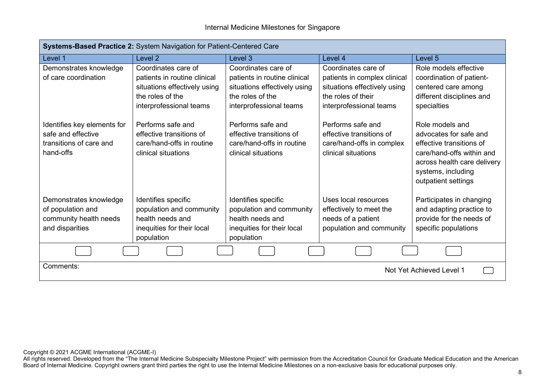| Systems-Based Practice 2: System Navigation for Patient-Centered Care                     |                                                                                                                                    |                                                                                                                                    |                                                                                                                                      |                                                                                                                                                                                |  |
|-------------------------------------------------------------------------------------------|------------------------------------------------------------------------------------------------------------------------------------|------------------------------------------------------------------------------------------------------------------------------------|--------------------------------------------------------------------------------------------------------------------------------------|--------------------------------------------------------------------------------------------------------------------------------------------------------------------------------|--|
| Level 1                                                                                   | Level <sub>2</sub>                                                                                                                 | Level 3                                                                                                                            | Level 4                                                                                                                              | Level 5                                                                                                                                                                        |  |
| Demonstrates knowledge<br>of care coordination                                            | Coordinates care of<br>patients in routine clinical<br>situations effectively using<br>the roles of the<br>interprofessional teams | Coordinates care of<br>patients in routine clinical<br>situations effectively using<br>the roles of the<br>interprofessional teams | Coordinates care of<br>patients in complex clinical<br>situations effectively using<br>the roles of their<br>interprofessional teams | Role models effective<br>coordination of patient-<br>centered care among<br>different disciplines and<br>specialties                                                           |  |
| Identifies key elements for<br>safe and effective<br>transitions of care and<br>hand-offs | Performs safe and<br>effective transitions of<br>care/hand-offs in routine<br>clinical situations                                  | Performs safe and<br>effective transitions of<br>care/hand-offs in routine<br>clinical situations                                  | Performs safe and<br>effective transitions of<br>care/hand-offs in complex<br>clinical situations                                    | Role models and<br>advocates for safe and<br>effective transitions of<br>care/hand-offs within and<br>across health care delivery<br>systems, including<br>outpatient settings |  |
| Demonstrates knowledge<br>of population and<br>community health needs<br>and disparities  | Identifies specific<br>population and community<br>health needs and<br>inequities for their local<br>population                    | Identifies specific<br>population and community<br>health needs and<br>inequities for their local<br>population                    | Uses local resources<br>effectively to meet the<br>needs of a patient<br>population and community                                    | Participates in changing<br>and adapting practice to<br>provide for the needs of<br>specific populations                                                                       |  |
|                                                                                           |                                                                                                                                    |                                                                                                                                    |                                                                                                                                      |                                                                                                                                                                                |  |
| Comments:<br>Not Yet Achieved Level 1                                                     |                                                                                                                                    |                                                                                                                                    |                                                                                                                                      |                                                                                                                                                                                |  |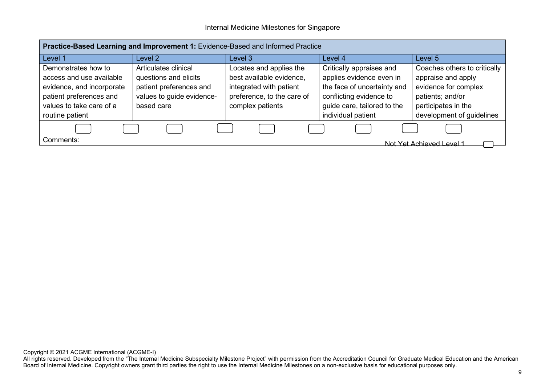| Practice-Based Learning and Improvement 1: Evidence-Based and Informed Practice                                                                        |                                                                                                                     |                                                                                                                                  |                                                                                                                                                                     |                                                                                                                                                    |  |  |
|--------------------------------------------------------------------------------------------------------------------------------------------------------|---------------------------------------------------------------------------------------------------------------------|----------------------------------------------------------------------------------------------------------------------------------|---------------------------------------------------------------------------------------------------------------------------------------------------------------------|----------------------------------------------------------------------------------------------------------------------------------------------------|--|--|
| Level 1                                                                                                                                                | Level 2                                                                                                             | Level 3                                                                                                                          | Level 4                                                                                                                                                             | Level 5                                                                                                                                            |  |  |
| Demonstrates how to<br>access and use available<br>evidence, and incorporate<br>patient preferences and<br>values to take care of a<br>routine patient | Articulates clinical<br>questions and elicits<br>patient preferences and<br>values to guide evidence-<br>based care | Locates and applies the<br>best available evidence,<br>integrated with patient<br>preference, to the care of<br>complex patients | Critically appraises and<br>applies evidence even in<br>the face of uncertainty and<br>conflicting evidence to<br>guide care, tailored to the<br>individual patient | Coaches others to critically<br>appraise and apply<br>evidence for complex<br>patients; and/or<br>participates in the<br>development of guidelines |  |  |
|                                                                                                                                                        |                                                                                                                     |                                                                                                                                  |                                                                                                                                                                     |                                                                                                                                                    |  |  |
| Comments:                                                                                                                                              | <u>Not Yet Achieved Level 1</u>                                                                                     |                                                                                                                                  |                                                                                                                                                                     |                                                                                                                                                    |  |  |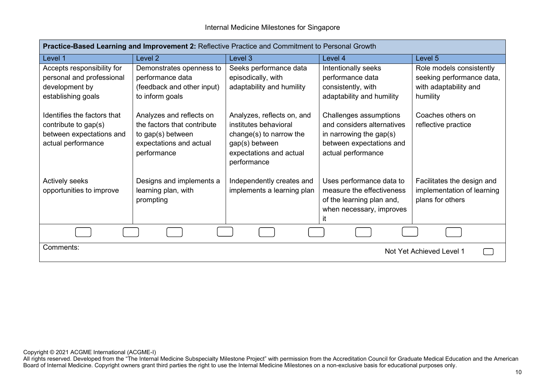| Practice-Based Learning and Improvement 2: Reflective Practice and Commitment to Personal Growth      |                                                                                                                        |                                                                                                                                            |                                                                                                                                   |                                                                                            |  |
|-------------------------------------------------------------------------------------------------------|------------------------------------------------------------------------------------------------------------------------|--------------------------------------------------------------------------------------------------------------------------------------------|-----------------------------------------------------------------------------------------------------------------------------------|--------------------------------------------------------------------------------------------|--|
| Level 1                                                                                               | Level 2                                                                                                                | Level 3                                                                                                                                    | Level 4                                                                                                                           | Level 5                                                                                    |  |
| Accepts responsibility for<br>personal and professional<br>development by<br>establishing goals       | Demonstrates openness to<br>performance data<br>(feedback and other input)<br>to inform goals                          | Seeks performance data<br>episodically, with<br>adaptability and humility                                                                  | Intentionally seeks<br>performance data<br>consistently, with<br>adaptability and humility                                        | Role models consistently<br>seeking performance data,<br>with adaptability and<br>humility |  |
| Identifies the factors that<br>contribute to gap(s)<br>between expectations and<br>actual performance | Analyzes and reflects on<br>the factors that contribute<br>to gap(s) between<br>expectations and actual<br>performance | Analyzes, reflects on, and<br>institutes behavioral<br>change(s) to narrow the<br>gap(s) between<br>expectations and actual<br>performance | Challenges assumptions<br>and considers alternatives<br>in narrowing the gap(s)<br>between expectations and<br>actual performance | Coaches others on<br>reflective practice                                                   |  |
| Actively seeks<br>opportunities to improve                                                            | Designs and implements a<br>learning plan, with<br>prompting                                                           | Independently creates and<br>implements a learning plan                                                                                    | Uses performance data to<br>measure the effectiveness<br>of the learning plan and,<br>when necessary, improves<br>it              | Facilitates the design and<br>implementation of learning<br>plans for others               |  |
|                                                                                                       |                                                                                                                        |                                                                                                                                            |                                                                                                                                   |                                                                                            |  |
| Comments:<br>Not Yet Achieved Level 1                                                                 |                                                                                                                        |                                                                                                                                            |                                                                                                                                   |                                                                                            |  |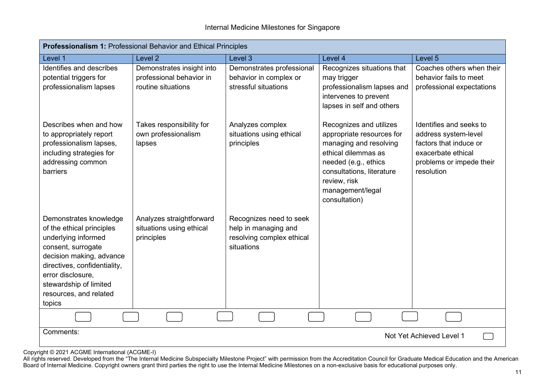| <b>Professionalism 1: Professional Behavior and Ethical Principles</b>                                                                                                                                                                          |                                                                             |                                                                                            |                                                                                                                                                                                                                 |                                                                                                                                           |
|-------------------------------------------------------------------------------------------------------------------------------------------------------------------------------------------------------------------------------------------------|-----------------------------------------------------------------------------|--------------------------------------------------------------------------------------------|-----------------------------------------------------------------------------------------------------------------------------------------------------------------------------------------------------------------|-------------------------------------------------------------------------------------------------------------------------------------------|
| Level 1                                                                                                                                                                                                                                         | Level <sub>2</sub>                                                          | Level 3                                                                                    | Level 4                                                                                                                                                                                                         | Level 5                                                                                                                                   |
| Identifies and describes<br>potential triggers for<br>professionalism lapses                                                                                                                                                                    | Demonstrates insight into<br>professional behavior in<br>routine situations | Demonstrates professional<br>behavior in complex or<br>stressful situations                | Recognizes situations that<br>may trigger<br>professionalism lapses and<br>intervenes to prevent<br>lapses in self and others                                                                                   | Coaches others when their<br>behavior fails to meet<br>professional expectations                                                          |
| Describes when and how<br>to appropriately report<br>professionalism lapses,<br>including strategies for<br>addressing common<br>barriers                                                                                                       | Takes responsibility for<br>own professionalism<br>lapses                   | Analyzes complex<br>situations using ethical<br>principles                                 | Recognizes and utilizes<br>appropriate resources for<br>managing and resolving<br>ethical dilemmas as<br>needed (e.g., ethics<br>consultations, literature<br>review, risk<br>management/legal<br>consultation) | Identifies and seeks to<br>address system-level<br>factors that induce or<br>exacerbate ethical<br>problems or impede their<br>resolution |
| Demonstrates knowledge<br>of the ethical principles<br>underlying informed<br>consent, surrogate<br>decision making, advance<br>directives, confidentiality,<br>error disclosure,<br>stewardship of limited<br>resources, and related<br>topics | Analyzes straightforward<br>situations using ethical<br>principles          | Recognizes need to seek<br>help in managing and<br>resolving complex ethical<br>situations |                                                                                                                                                                                                                 |                                                                                                                                           |
|                                                                                                                                                                                                                                                 |                                                                             |                                                                                            |                                                                                                                                                                                                                 |                                                                                                                                           |
| Comments:<br>Not Yet Achieved Level 1                                                                                                                                                                                                           |                                                                             |                                                                                            |                                                                                                                                                                                                                 |                                                                                                                                           |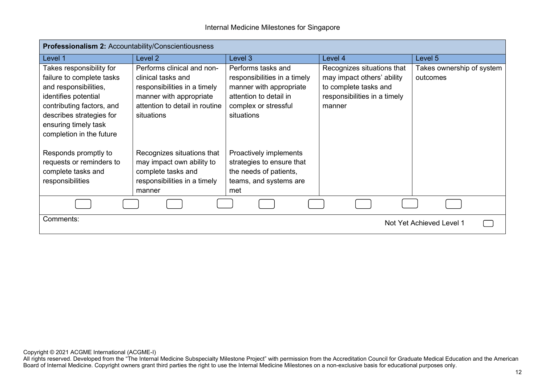| Professionalism 2: Accountability/Conscientiousness                                                                                                                                                                 |                                                                                                                                                             |                                                                                                                                               |                                                                                                                             |                                       |  |
|---------------------------------------------------------------------------------------------------------------------------------------------------------------------------------------------------------------------|-------------------------------------------------------------------------------------------------------------------------------------------------------------|-----------------------------------------------------------------------------------------------------------------------------------------------|-----------------------------------------------------------------------------------------------------------------------------|---------------------------------------|--|
| Level 1                                                                                                                                                                                                             | Level <sub>2</sub>                                                                                                                                          | Level 3                                                                                                                                       | Level 4                                                                                                                     | Level 5                               |  |
| Takes responsibility for<br>failure to complete tasks<br>and responsibilities,<br>identifies potential<br>contributing factors, and<br>describes strategies for<br>ensuring timely task<br>completion in the future | Performs clinical and non-<br>clinical tasks and<br>responsibilities in a timely<br>manner with appropriate<br>attention to detail in routine<br>situations | Performs tasks and<br>responsibilities in a timely<br>manner with appropriate<br>attention to detail in<br>complex or stressful<br>situations | Recognizes situations that<br>may impact others' ability<br>to complete tasks and<br>responsibilities in a timely<br>manner | Takes ownership of system<br>outcomes |  |
| Responds promptly to<br>requests or reminders to<br>complete tasks and<br>responsibilities                                                                                                                          | Recognizes situations that<br>may impact own ability to<br>complete tasks and<br>responsibilities in a timely<br>manner                                     | Proactively implements<br>strategies to ensure that<br>the needs of patients,<br>teams, and systems are<br>met                                |                                                                                                                             |                                       |  |
|                                                                                                                                                                                                                     |                                                                                                                                                             |                                                                                                                                               |                                                                                                                             |                                       |  |
| Comments:<br>Not Yet Achieved Level 1                                                                                                                                                                               |                                                                                                                                                             |                                                                                                                                               |                                                                                                                             |                                       |  |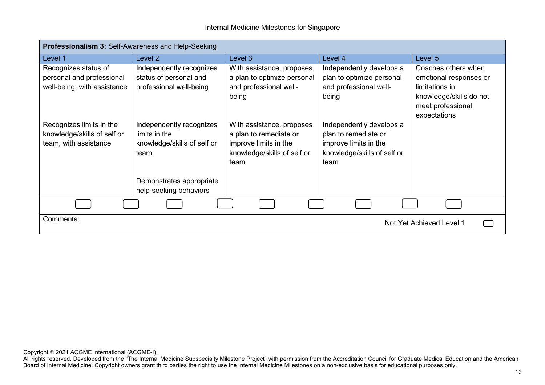| <b>Professionalism 3: Self-Awareness and Help-Seeking</b>                        |                                                                                  |                                                                                                                     |                                                                                                                  |                                                                                                                                 |
|----------------------------------------------------------------------------------|----------------------------------------------------------------------------------|---------------------------------------------------------------------------------------------------------------------|------------------------------------------------------------------------------------------------------------------|---------------------------------------------------------------------------------------------------------------------------------|
| Level 1                                                                          | Level 2                                                                          | Level 3                                                                                                             | Level 4                                                                                                          | Level 5                                                                                                                         |
| Recognizes status of<br>personal and professional<br>well-being, with assistance | Independently recognizes<br>status of personal and<br>professional well-being    | With assistance, proposes<br>a plan to optimize personal<br>and professional well-<br>being                         | Independently develops a<br>plan to optimize personal<br>and professional well-<br>being                         | Coaches others when<br>emotional responses or<br>limitations in<br>knowledge/skills do not<br>meet professional<br>expectations |
| Recognizes limits in the<br>knowledge/skills of self or<br>team, with assistance | Independently recognizes<br>limits in the<br>knowledge/skills of self or<br>team | With assistance, proposes<br>a plan to remediate or<br>improve limits in the<br>knowledge/skills of self or<br>team | Independently develops a<br>plan to remediate or<br>improve limits in the<br>knowledge/skills of self or<br>team |                                                                                                                                 |
|                                                                                  | Demonstrates appropriate<br>help-seeking behaviors                               |                                                                                                                     |                                                                                                                  |                                                                                                                                 |
|                                                                                  |                                                                                  |                                                                                                                     |                                                                                                                  |                                                                                                                                 |
| Comments:<br>Not Yet Achieved Level 1                                            |                                                                                  |                                                                                                                     |                                                                                                                  |                                                                                                                                 |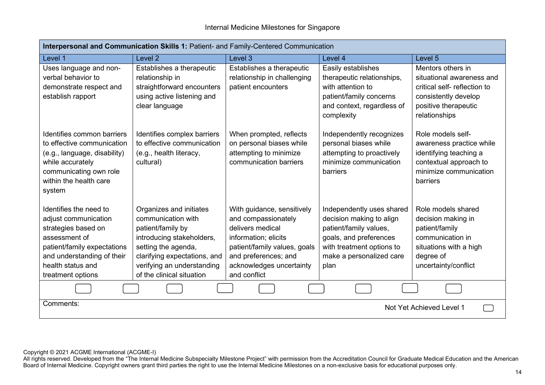| Interpersonal and Communication Skills 1: Patient- and Family-Centered Communication                                                                                                          |                                                                                                                                                                                                                   |                                                                                                                                                                                                   |                                                                                                                                                                            |                                                                                                                                                |
|-----------------------------------------------------------------------------------------------------------------------------------------------------------------------------------------------|-------------------------------------------------------------------------------------------------------------------------------------------------------------------------------------------------------------------|---------------------------------------------------------------------------------------------------------------------------------------------------------------------------------------------------|----------------------------------------------------------------------------------------------------------------------------------------------------------------------------|------------------------------------------------------------------------------------------------------------------------------------------------|
| Level 1                                                                                                                                                                                       | Level <sub>2</sub>                                                                                                                                                                                                | Level 3                                                                                                                                                                                           | Level 4                                                                                                                                                                    | Level 5                                                                                                                                        |
| Uses language and non-<br>verbal behavior to<br>demonstrate respect and<br>establish rapport                                                                                                  | Establishes a therapeutic<br>relationship in<br>straightforward encounters<br>using active listening and<br>clear language                                                                                        | Establishes a therapeutic<br>relationship in challenging<br>patient encounters                                                                                                                    | Easily establishes<br>therapeutic relationships,<br>with attention to<br>patient/family concerns<br>and context, regardless of<br>complexity                               | Mentors others in<br>situational awareness and<br>critical self-reflection to<br>consistently develop<br>positive therapeutic<br>relationships |
| Identifies common barriers<br>to effective communication<br>(e.g., language, disability)<br>while accurately<br>communicating own role<br>within the health care<br>system                    | Identifies complex barriers<br>to effective communication<br>(e.g., health literacy,<br>cultural)                                                                                                                 | When prompted, reflects<br>on personal biases while<br>attempting to minimize<br>communication barriers                                                                                           | Independently recognizes<br>personal biases while<br>attempting to proactively<br>minimize communication<br>barriers                                                       | Role models self-<br>awareness practice while<br>identifying teaching a<br>contextual approach to<br>minimize communication<br>barriers        |
| Identifies the need to<br>adjust communication<br>strategies based on<br>assessment of<br>patient/family expectations<br>and understanding of their<br>health status and<br>treatment options | Organizes and initiates<br>communication with<br>patient/family by<br>introducing stakeholders,<br>setting the agenda,<br>clarifying expectations, and<br>verifying an understanding<br>of the clinical situation | With guidance, sensitively<br>and compassionately<br>delivers medical<br>information; elicits<br>patient/family values, goals<br>and preferences; and<br>acknowledges uncertainty<br>and conflict | Independently uses shared<br>decision making to align<br>patient/family values,<br>goals, and preferences<br>with treatment options to<br>make a personalized care<br>plan | Role models shared<br>decision making in<br>patient/family<br>communication in<br>situations with a high<br>degree of<br>uncertainty/conflict  |
|                                                                                                                                                                                               |                                                                                                                                                                                                                   |                                                                                                                                                                                                   |                                                                                                                                                                            |                                                                                                                                                |
| Comments:<br>Not Yet Achieved Level 1                                                                                                                                                         |                                                                                                                                                                                                                   |                                                                                                                                                                                                   |                                                                                                                                                                            |                                                                                                                                                |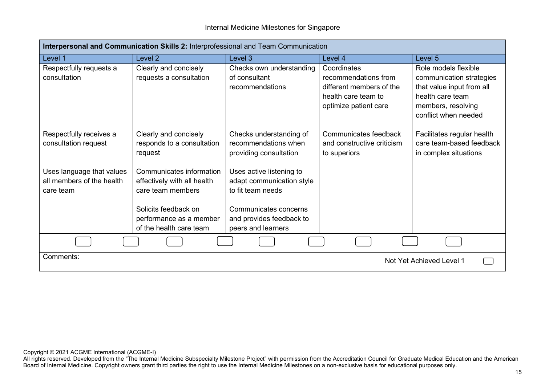| Interpersonal and Communication Skills 2: Interprofessional and Team Communication |                                                                              |                                                                            |                                                                                                                 |                                                                                                                                                 |
|------------------------------------------------------------------------------------|------------------------------------------------------------------------------|----------------------------------------------------------------------------|-----------------------------------------------------------------------------------------------------------------|-------------------------------------------------------------------------------------------------------------------------------------------------|
| Level 1                                                                            | Level <sub>2</sub>                                                           | Level 3                                                                    | Level 4                                                                                                         | Level 5                                                                                                                                         |
| Respectfully requests a<br>consultation                                            | Clearly and concisely<br>requests a consultation                             | Checks own understanding<br>of consultant<br>recommendations               | Coordinates<br>recommendations from<br>different members of the<br>health care team to<br>optimize patient care | Role models flexible<br>communication strategies<br>that value input from all<br>health care team<br>members, resolving<br>conflict when needed |
| Respectfully receives a<br>consultation request                                    | Clearly and concisely<br>responds to a consultation<br>request               | Checks understanding of<br>recommendations when<br>providing consultation  | Communicates feedback<br>and constructive criticism<br>to superiors                                             | Facilitates regular health<br>care team-based feedback<br>in complex situations                                                                 |
| Uses language that values<br>all members of the health<br>care team                | Communicates information<br>effectively with all health<br>care team members | Uses active listening to<br>adapt communication style<br>to fit team needs |                                                                                                                 |                                                                                                                                                 |
|                                                                                    | Solicits feedback on<br>performance as a member<br>of the health care team   | Communicates concerns<br>and provides feedback to<br>peers and learners    |                                                                                                                 |                                                                                                                                                 |
|                                                                                    |                                                                              |                                                                            |                                                                                                                 |                                                                                                                                                 |
| Comments:<br>Not Yet Achieved Level 1                                              |                                                                              |                                                                            |                                                                                                                 |                                                                                                                                                 |